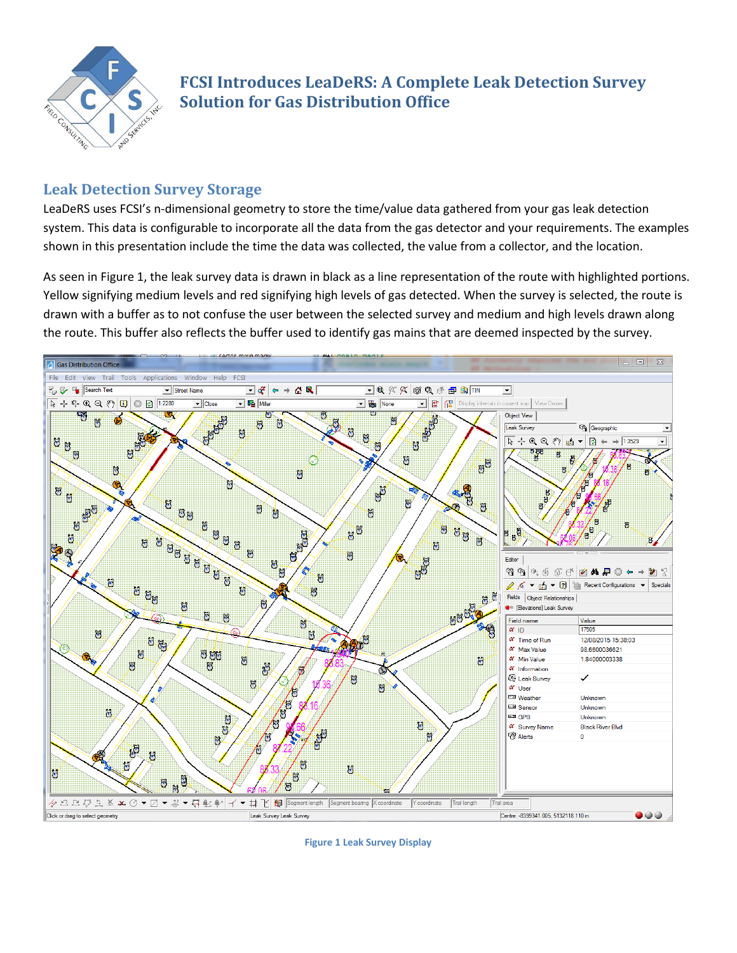

# **FCSI Introduces LeaDeRS: A Complete Leak Detection Survey Solution for Gas Distribution Office**

### **Leak Detection Survey Storage**

LeaDeRS uses FCSI's n-dimensional geometry to store the time/value data gathered from your gas leak detection system. This data is configurable to incorporate all the data from the gas detector and your requirements. The examples shown in this presentation include the time the data was collected, the value from a collector, and the location.

As seen i[n Figure 1,](#page-0-0) the leak survey data is drawn in black as a line representation of the route with highlighted portions. Yellow signifying medium levels and red signifying high levels of gas detected. When the survey is selected, the route is drawn with a buffer as to not confuse the user between the selected survey and medium and high levels drawn along the route. This buffer also reflects the buffer used to identify gas mains that are deemed inspected by the survey.



<span id="page-0-0"></span>**Figure 1 Leak Survey Display**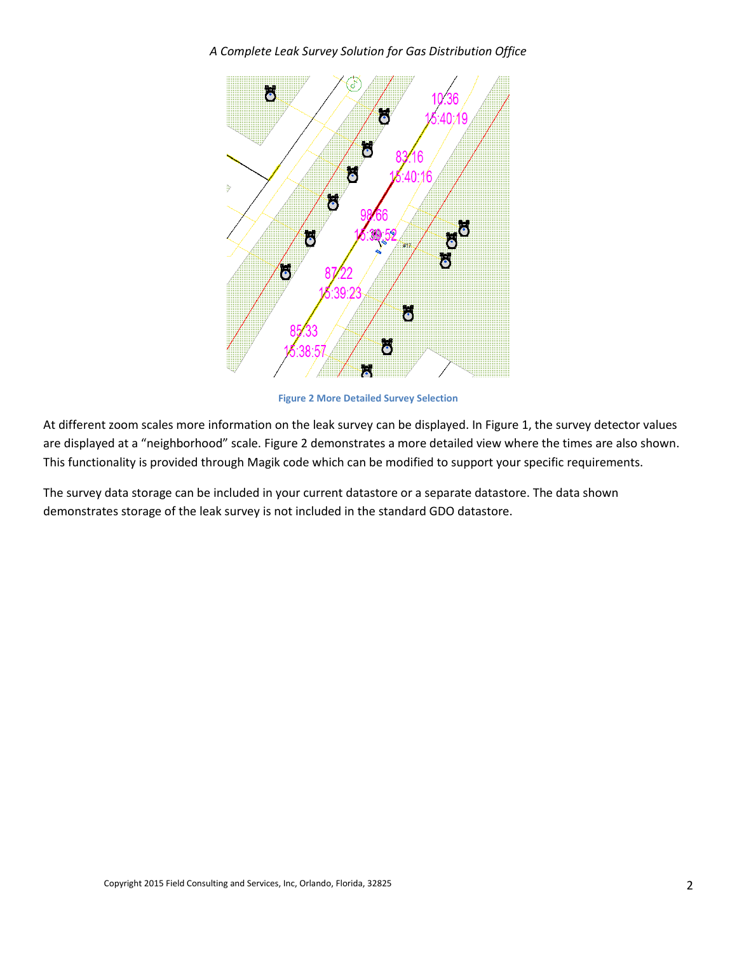#### *A Complete Leak Survey Solution for Gas Distribution Office*



**Figure 2 More Detailed Survey Selection**

<span id="page-1-0"></span>At different zoom scales more information on the leak survey can be displayed. In [Figure 1,](#page-0-0) the survey detector values are displayed at a "neighborhood" scale. [Figure 2](#page-1-0) demonstrates a more detailed view where the times are also shown. This functionality is provided through Magik code which can be modified to support your specific requirements.

The survey data storage can be included in your current datastore or a separate datastore. The data shown demonstrates storage of the leak survey is not included in the standard GDO datastore.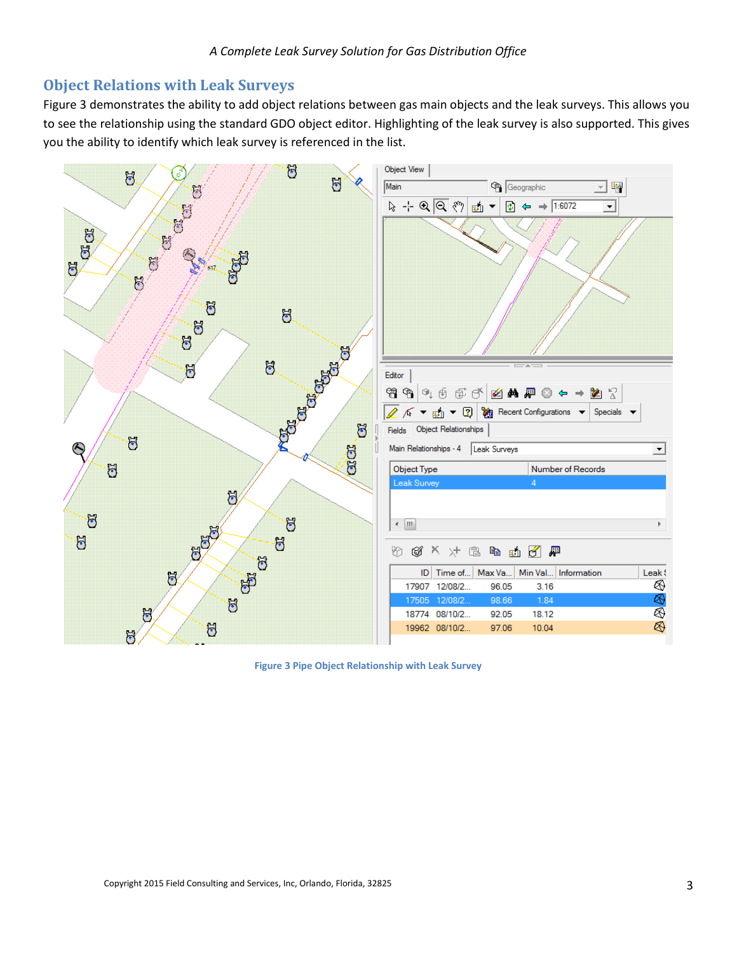### **Object Relations with Leak Surveys**

[Figure](#page-2-0) 3 demonstrates the ability to add object relations between gas main objects and the leak surveys. This allows you to see the relationship using the standard GDO object editor. Highlighting of the leak survey is also supported. This gives you the ability to identify which leak survey is referenced in the list.



<span id="page-2-0"></span>**Figure 3 Pipe Object Relationship with Leak Survey**